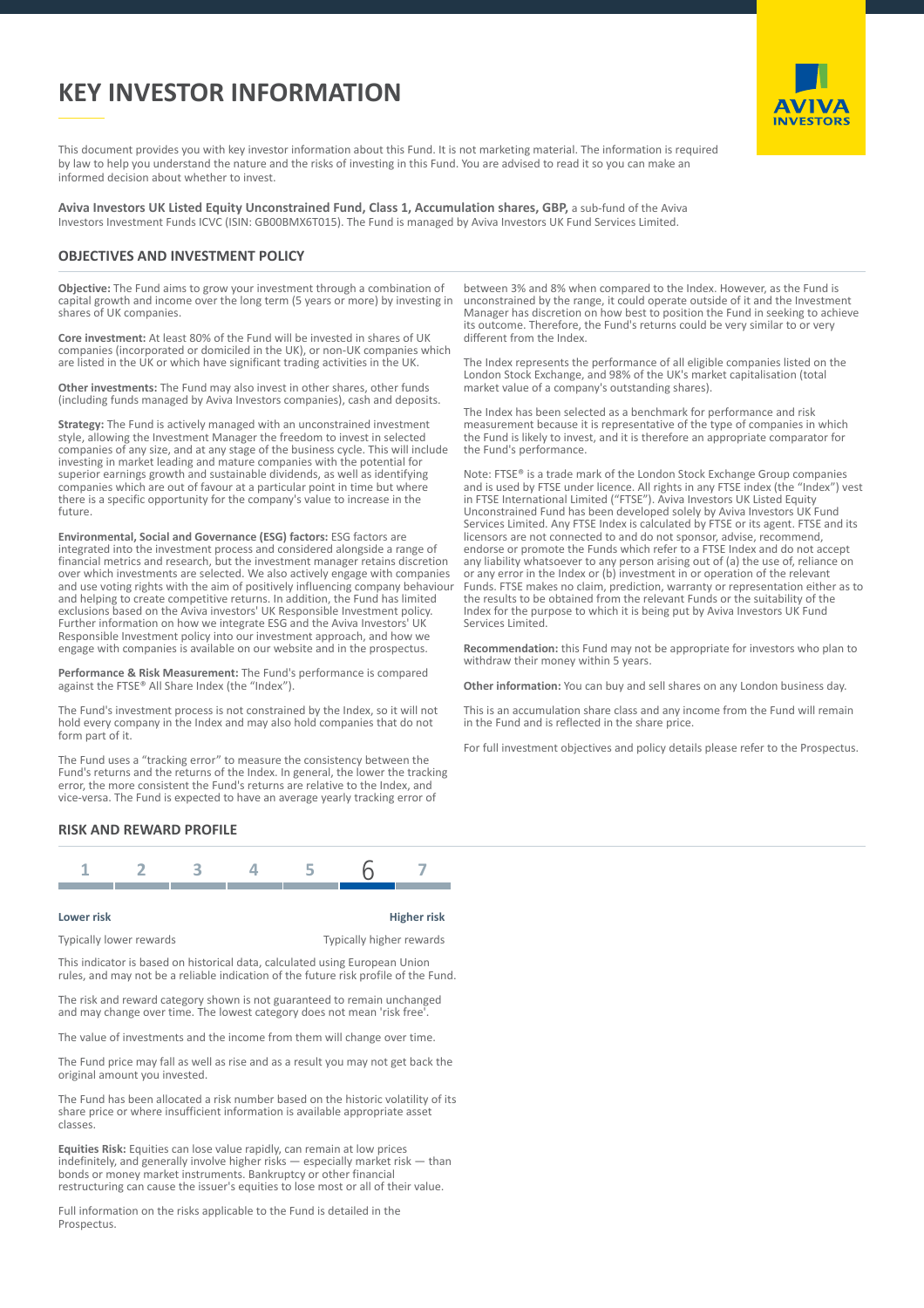# **KEY INVESTOR INFORMATION**



This document provides you with key investor information about this Fund. It is not marketing material. The information is required by law to help you understand the nature and the risks of investing in this Fund. You are advised to read it so you can make an informed decision about whether to invest.

**Aviva Investors UK Listed Equity Unconstrained Fund, Class 1, Accumulation shares, GBP,** a sub-fund of the Aviva Investors Investment Funds ICVC (ISIN: GB00BMX6T015). The Fund is managed by Aviva Investors UK Fund Services Limited.

## **OBJECTIVES AND INVESTMENT POLICY**

**Objective:** The Fund aims to grow your investment through a combination of capital growth and income over the long term (5 years or more) by investing in shares of UK companies.

**Core investment:** At least 80% of the Fund will be invested in shares of UK companies (incorporated or domiciled in the UK), or non-UK companies which are listed in the UK or which have significant trading activities in the UK.

**Other investments:** The Fund may also invest in other shares, other funds (including funds managed by Aviva Investors companies), cash and deposits.

**Strategy:** The Fund is actively managed with an unconstrained investment style, allowing the Investment Manager the freedom to invest in selected companies of any size, and at any stage of the business cycle. This will include investing in market leading and mature companies with the potential for superior earnings growth and sustainable dividends, as well as identifying companies which are out of favour at a particular point in time but where there is a specific opportunity for the company's value to increase in the future.

**Environmental, Social and Governance (ESG) factors:** ESG factors are integrated into the investment process and considered alongside a range of financial metrics and research, but the investment manager retains discretion over which investments are selected. We also actively engage with companies and use voting rights with the aim of positively influencing company behaviour and helping to create competitive returns. In addition, the Fund has limited exclusions based on the Aviva investors' UK Responsible Investment policy. Further information on how we integrate ESG and the Aviva Investors' UK Responsible Investment policy into our investment approach, and how we engage with companies is available on our website and in the prospectus.

**Performance & Risk Measurement:** The Fund's performance is compared against the FTSE® All Share Index (the "Index").

The Fund's investment process is not constrained by the Index, so it will not hold every company in the Index and may also hold companies that do not form part of it.

The Fund uses a "tracking error" to measure the consistency between the Fund's returns and the returns of the Index. In general, the lower the tracking error, the more consistent the Fund's returns are relative to the Index, and vice-versa. The Fund is expected to have an average yearly tracking error of

between 3% and 8% when compared to the Index. However, as the Fund is unconstrained by the range, it could operate outside of it and the Investment Manager has discretion on how best to position the Fund in seeking to achieve its outcome. Therefore, the Fund's returns could be very similar to or very different from the Index.

The Index represents the performance of all eligible companies listed on the London Stock Exchange, and 98% of the UK's market capitalisation (total market value of a company's outstanding shares).

The Index has been selected as a benchmark for performance and risk measurement because it is representative of the type of companies in which the Fund is likely to invest, and it is therefore an appropriate comparator for the Fund's performance.

Note: FTSE® is a trade mark of the London Stock Exchange Group companies and is used by FTSE under licence. All rights in any FTSE index (the "Index") vest in FTSE International Limited ("FTSE"). Aviva Investors UK Listed Equity Unconstrained Fund has been developed solely by Aviva Investors UK Fund Services Limited. Any FTSE Index is calculated by FTSE or its agent. FTSE and its licensors are not connected to and do not sponsor, advise, recommend, endorse or promote the Funds which refer to a FTSE Index and do not accept any liability whatsoever to any person arising out of (a) the use of, reliance on or any error in the Index or (b) investment in or operation of the relevant Funds. FTSE makes no claim, prediction, warranty or representation either as to the results to be obtained from the relevant Funds or the suitability of the Index for the purpose to which it is being put by Aviva Investors UK Fund Services Limited.

**Recommendation:** this Fund may not be appropriate for investors who plan to withdraw their money within 5 years.

**Other information:** You can buy and sell shares on any London business day.

This is an accumulation share class and any income from the Fund will remain in the Fund and is reflected in the share price.

For full investment objectives and policy details please refer to the Prospectus.

### **RISK AND REWARD PROFILE**

#### **Lower risk Higher risk**

Typically lower rewards Typically higher rewards

This indicator is based on historical data, calculated using European Union rules, and may not be a reliable indication of the future risk profile of the Fund.

The risk and reward category shown is not guaranteed to remain unchanged and may change over time. The lowest category does not mean 'risk free'.

The value of investments and the income from them will change over time.

The Fund price may fall as well as rise and as a result you may not get back the original amount you invested.

The Fund has been allocated a risk number based on the historic volatility of its share price or where insufficient information is available appropriate asset classes.

**Equities Risk:** Equities can lose value rapidly, can remain at low prices indefinitely, and generally involve higher risks — especially market risk — than bonds or money market instruments. Bankruptcy or other financial restructuring can cause the issuer's equities to lose most or all of their value.

Full information on the risks applicable to the Fund is detailed in the Prospectus.